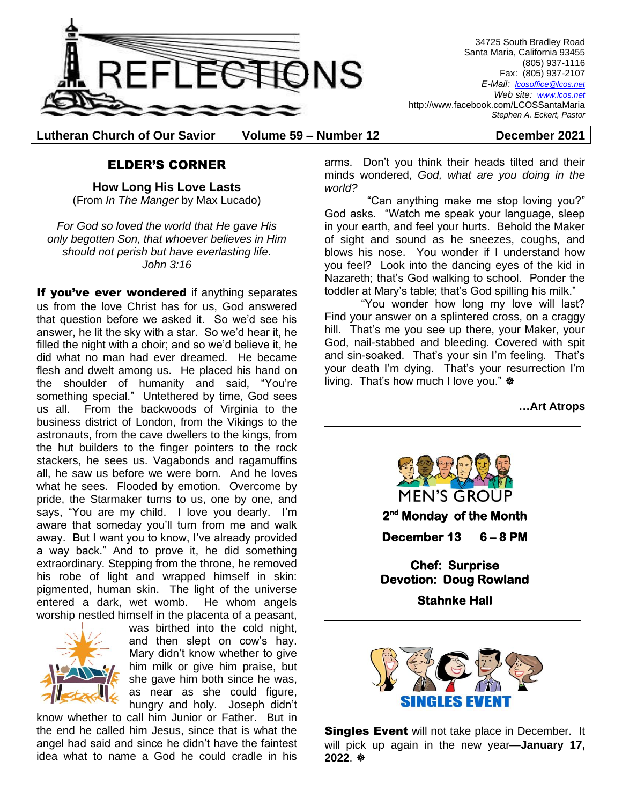

34725 South Bradley Road Santa Maria, California 93455 (805) 937-1116 Fax: (805) 937-2107 *E-Mail: lcosoffice@lcos.net Web site: [www.lcos.net](http://www.lcos.net/)* http://www.facebook.com/LCOSSantaMaria *Stephen A. Eckert, Pastor*

**Lutheran Church of Our Savior Volume 59 – Number 12 December 2021**

#### ELDER'S CORNER

**How Long His Love Lasts** (From *In The Manger* by Max Lucado)

*For God so loved the world that He gave His only begotten Son, that whoever believes in Him should not perish but have everlasting life. John 3:16*

If you've ever wondered if anything separates us from the love Christ has for us, God answered that question before we asked it. So we'd see his answer, he lit the sky with a star. So we'd hear it, he filled the night with a choir; and so we'd believe it, he did what no man had ever dreamed. He became flesh and dwelt among us. He placed his hand on the shoulder of humanity and said, "You're something special." Untethered by time, God sees us all. From the backwoods of Virginia to the business district of London, from the Vikings to the astronauts, from the cave dwellers to the kings, from the hut builders to the finger pointers to the rock stackers, he sees us. Vagabonds and ragamuffins all, he saw us before we were born. And he loves what he sees. Flooded by emotion. Overcome by pride, the Starmaker turns to us, one by one, and says, "You are my child. I love you dearly. I'm aware that someday you'll turn from me and walk away. But I want you to know, I've already provided a way back." And to prove it, he did something extraordinary. Stepping from the throne, he removed his robe of light and wrapped himself in skin: pigmented, human skin. The light of the universe entered a dark, wet womb. He whom angels worship nestled himself in the placenta of a peasant,



was birthed into the cold night, and then slept on cow's hay. Mary didn't know whether to give him milk or give him praise, but she gave him both since he was, as near as she could figure, hungry and holy. Joseph didn't

know whether to call him Junior or Father. But in the end he called him Jesus, since that is what the angel had said and since he didn't have the faintest idea what to name a God he could cradle in his

arms. Don't you think their heads tilted and their minds wondered, *God, what are you doing in the world?*

"Can anything make me stop loving you?" God asks. "Watch me speak your language, sleep in your earth, and feel your hurts. Behold the Maker of sight and sound as he sneezes, coughs, and blows his nose. You wonder if I understand how you feel? Look into the dancing eyes of the kid in Nazareth; that's God walking to school. Ponder the toddler at Mary's table; that's God spilling his milk."

"You wonder how long my love will last? Find your answer on a splintered cross, on a craggy hill. That's me you see up there, your Maker, your God, nail-stabbed and bleeding. Covered with spit and sin-soaked. That's your sin I'm feeling. That's your death I'm dying. That's your resurrection I'm living. That's how much I love you." ※

**…Art Atrops**



**2 nd Monday of the Month** 

**December 13 6 – 8 PM** 

**Chef: Surprise Devotion: Doug Rowland Stahnke Hall** 



**Singles Event** will not take place in December. It will pick up again in the new year—**January 17,**  2022<sup>.</sup> ※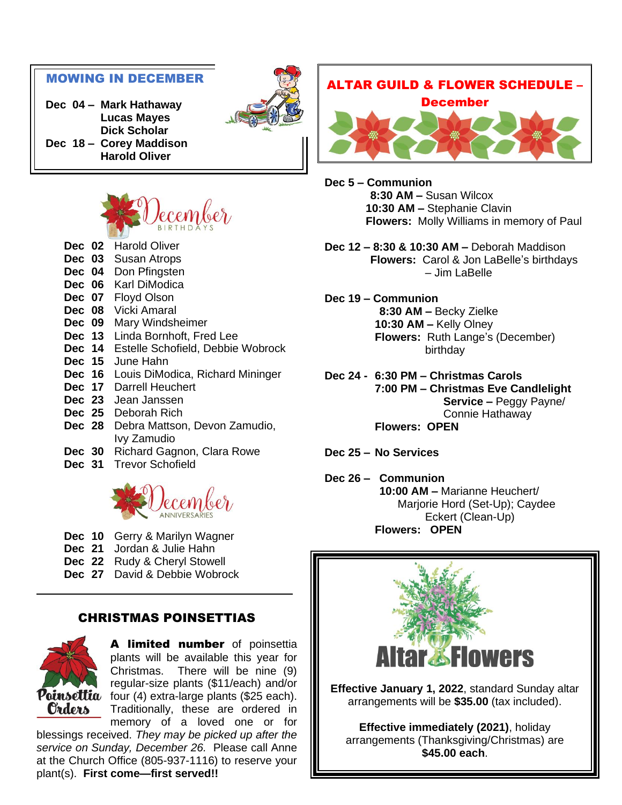#### MOWING IN DECEMBER

**Dec 04 – Mark Hathaway Lucas Mayes Dick Scholar Dec 18 – Corey Maddison Harold Oliver**



- **Dec 02** Harold Oliver
- **Dec 03** Susan Atrops
- **Dec 04** Don Pfingsten **Dec 06** Karl DiModica
- **Dec 07** Floyd Olson
- **Dec 08** Vicki Amaral
- **Dec 09** Mary Windsheimer
- **Dec 13** Linda Bornhoft, Fred Lee
- **Dec 14** Estelle Schofield, Debbie Wobrock
- **Dec 15** June Hahn
- **Dec 16** Louis DiModica, Richard Mininger
- **Dec 17** Darrell Heuchert
- **Dec 23** Jean Janssen
- **Dec 25** Deborah Rich
- **Dec 28** Debra Mattson, Devon Zamudio, Ivy Zamudio
- **Dec 30** Richard Gagnon, Clara Rowe
- **Dec 31** Trevor Schofield



- **Dec 10** Gerry & Marilyn Wagner
- **Dec 21** Jordan & Julie Hahn
- **Dec 22** Rudy & Cheryl Stowell
- **Dec 27** David & Debbie Wobrock

#### CHRISTMAS POINSETTIAS



A limited number of poinsettia plants will be available this year for Christmas. There will be nine (9) regular-size plants (\$11/each) and/or  $\overline{\mathbf{Poinset}}$  four (4) extra-large plants (\$25 each). Traditionally, these are ordered in memory of a loved one or for

blessings received. *They may be picked up after the service on Sunday, December 26.* Please call Anne at the Church Office (805-937-1116) to reserve your plant(s). **First come—first served!!**



**Dec 5 – Communion 8:30 AM –** Susan Wilcox **10:30 AM –** Stephanie Clavin **Flowers:** Molly Williams in memory of Paul

- **Dec 12 – 8:30 & 10:30 AM –** Deborah Maddison **Flowers:** Carol & Jon LaBelle's birthdays – Jim LaBelle
- **Dec 19 – Communion 8:30 AM –** Becky Zielke **10:30 AM –** Kelly Olney **Flowers:** Ruth Lange's (December) birthday
- **Dec 24 - 6:30 PM – Christmas Carols 7:00 PM – Christmas Eve Candlelight Service –** Peggy Payne/ Connie Hathaway **Flowers: OPEN**
- **Dec 25 – No Services**

**Dec 26 – Communion 10:00 AM –** Marianne Heuchert/ Marjorie Hord (Set-Up); Caydee Eckert (Clean-Up) **Flowers: OPEN**

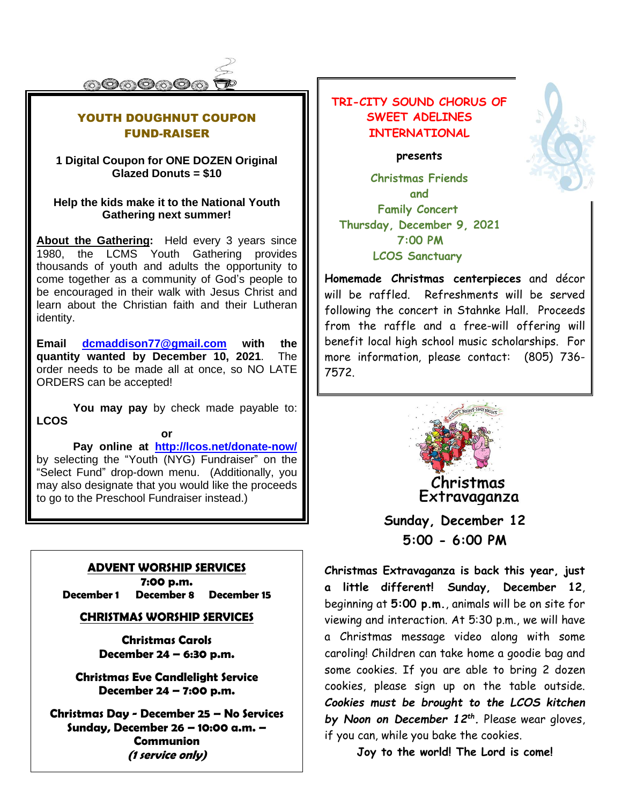

### YOUTH DOUGHNUT COUPON FUND-RAISER

#### **1 Digital Coupon for ONE DOZEN Original Glazed Donuts = \$10**

#### **Help the kids make it to the National Youth Gathering next summer!**

**About the Gathering:** Held every 3 years since 1980, the LCMS Youth Gathering provides thousands of youth and adults the opportunity to come together as a community of God's people to be encouraged in their walk with Jesus Christ and learn about the Christian faith and their Lutheran identity.

**Email [dcmaddison77@gmail.com](mailto:dcmaddison77@gmail.com) with the quantity wanted by December 10, 2021**. The order needs to be made all at once, so NO LATE ORDERS can be accepted!

**You may pay** by check made payable to: **LCOS**

**or**

**Pay online at <http://lcos.net/donate-now/>** by selecting the "Youth (NYG) Fundraiser" on the "Select Fund" drop-down menu. (Additionally, you may also designate that you would like the proceeds to go to the Preschool Fundraiser instead.)

#### **ADVENT WORSHIP SERVICES**

**7:00 p.m. December 1 December 8 December 15**

#### **CHRISTMAS WORSHIP SERVICES**

**Christmas Carols December 24 – 6:30 p.m.**

**Christmas Eve Candlelight Service December 24 – 7:00 p.m.**

**Christmas Day - December 25 – No Services Sunday, December 26 – 10:00 a.m. – Communion (1 service only)**

## **TRI-CITY SOUND CHORUS OF SWEET ADELINES INTERNATIONAL**

#### **presents**

**Christmas Friends and Family Concert Thursday, December 9, 2021 7:00 PM LCOS Sanctuary**

**Homemade Christmas centerpieces** and décor will be raffled. Refreshments will be served following the concert in Stahnke Hall. Proceeds from the raffle and a free-will offering will benefit local high school music scholarships. For more information, please contact: (805) 736- 7572.



**Sunday, December 12 5:00 - 6:00 PM**

**Christmas Extravaganza is back this year, just a little different! Sunday, December 12**, beginning at **5:00 p.m.**, animals will be on site for viewing and interaction. At 5:30 p.m., we will have a Christmas message video along with some caroling! Children can take home a goodie bag and some cookies. If you are able to bring 2 dozen cookies, please sign up on the table outside. *Cookies must be brought to the LCOS kitchen by Noon on December 12th .* Please wear gloves, if you can, while you bake the cookies.

**Joy to the world! The Lord is come!**

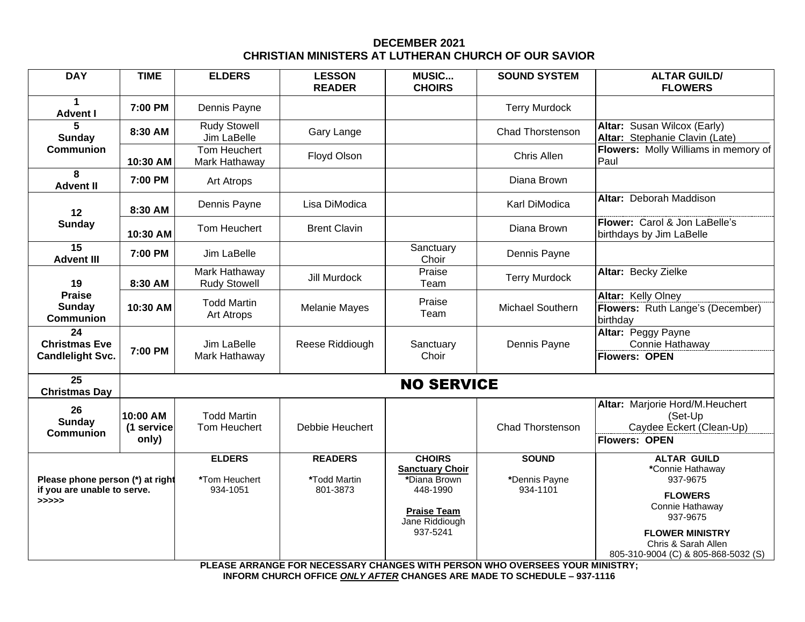#### **DECEMBER 2021 CHRISTIAN MINISTERS AT LUTHERAN CHURCH OF OUR SAVIOR**

| <b>DAY</b>                                                               | <b>TIME</b>                     | <b>ELDERS</b>                              | <b>LESSON</b><br><b>READER</b>             | <b>MUSIC</b><br><b>CHOIRS</b>                                                                                           | <b>SOUND SYSTEM</b>                                                          | <b>ALTAR GUILD/</b><br><b>FLOWERS</b>                                                                                                                |  |  |
|--------------------------------------------------------------------------|---------------------------------|--------------------------------------------|--------------------------------------------|-------------------------------------------------------------------------------------------------------------------------|------------------------------------------------------------------------------|------------------------------------------------------------------------------------------------------------------------------------------------------|--|--|
| $\blacktriangleleft$<br><b>Advent I</b>                                  | 7:00 PM                         | Dennis Payne                               |                                            | <b>Terry Murdock</b>                                                                                                    |                                                                              |                                                                                                                                                      |  |  |
| 5<br><b>Sunday</b><br><b>Communion</b>                                   | 8:30 AM                         | <b>Rudy Stowell</b><br>Jim LaBelle         | Gary Lange                                 |                                                                                                                         | Chad Thorstenson                                                             | Altar: Susan Wilcox (Early)<br>Altar: Stephanie Clavin (Late)                                                                                        |  |  |
|                                                                          | 10:30 AM                        | Tom Heuchert<br>Mark Hathaway              | Floyd Olson                                |                                                                                                                         | Chris Allen                                                                  | Flowers: Molly Williams in memory of<br>Paul                                                                                                         |  |  |
| 8<br><b>Advent II</b>                                                    | 7:00 PM                         | Art Atrops                                 |                                            |                                                                                                                         | Diana Brown                                                                  |                                                                                                                                                      |  |  |
| 12<br><b>Sunday</b>                                                      | 8:30 AM                         | Dennis Payne                               | Lisa DiModica                              |                                                                                                                         | Karl DiModica                                                                | Altar: Deborah Maddison                                                                                                                              |  |  |
|                                                                          | 10:30 AM                        | Tom Heuchert                               | <b>Brent Clavin</b>                        |                                                                                                                         | Diana Brown                                                                  | Flower: Carol & Jon LaBelle's<br>birthdays by Jim LaBelle                                                                                            |  |  |
| $\overline{15}$<br><b>Advent III</b>                                     | 7:00 PM                         | Jim LaBelle                                |                                            | Sanctuary<br>Choir                                                                                                      | Dennis Payne                                                                 |                                                                                                                                                      |  |  |
| 19<br><b>Praise</b><br>Sunday<br><b>Communion</b>                        | 8:30 AM                         | Mark Hathaway<br><b>Rudy Stowell</b>       | Jill Murdock                               | Praise<br>Team                                                                                                          | <b>Terry Murdock</b>                                                         | Altar: Becky Zielke                                                                                                                                  |  |  |
|                                                                          | 10:30 AM                        | <b>Todd Martin</b><br>Art Atrops           | <b>Melanie Mayes</b>                       | Praise<br>Team                                                                                                          | <b>Michael Southern</b>                                                      | Altar: Kelly Olney<br>Flowers: Ruth Lange's (December)<br>birthday                                                                                   |  |  |
| 24<br><b>Christmas Eve</b><br><b>Candlelight Svc.</b>                    | 7:00 PM                         | Jim LaBelle<br>Mark Hathaway               | Reese Riddiough                            | Sanctuary<br>Choir                                                                                                      | Dennis Payne                                                                 | Altar: Peggy Payne<br>Connie Hathaway<br><b>Flowers: OPEN</b>                                                                                        |  |  |
| 25<br><b>Christmas Day</b>                                               | <b>NO SERVICE</b>               |                                            |                                            |                                                                                                                         |                                                                              |                                                                                                                                                      |  |  |
| 26<br>Sunday<br><b>Communion</b>                                         | 10:00 AM<br>(1 service<br>only) | <b>Todd Martin</b><br>Tom Heuchert         | Debbie Heuchert                            |                                                                                                                         | Chad Thorstenson                                                             | Altar: Marjorie Hord/M.Heuchert<br>(Set-Up<br>Caydee Eckert (Clean-Up)<br><b>Flowers: OPEN</b>                                                       |  |  |
| Please phone person (*) at right<br>if you are unable to serve.<br>>>>>> |                                 | <b>ELDERS</b><br>*Tom Heuchert<br>934-1051 | <b>READERS</b><br>*Todd Martin<br>801-3873 | <b>CHOIRS</b><br><b>Sanctuary Choir</b><br>*Diana Brown<br>448-1990<br><b>Praise Team</b><br>Jane Riddiough<br>937-5241 | <b>SOUND</b><br>*Dennis Payne<br>934-1101                                    | <b>ALTAR GUILD</b><br>*Connie Hathaway<br>937-9675<br><b>FLOWERS</b><br>Connie Hathaway<br>937-9675<br><b>FLOWER MINISTRY</b><br>Chris & Sarah Allen |  |  |
|                                                                          |                                 |                                            |                                            |                                                                                                                         | PLEASE ARRANGE FOR NECESSARY CHANGES WITH PERSON WHO OVERSEES YOUR MINISTRY; | 805-310-9004 (C) & 805-868-5032 (S)                                                                                                                  |  |  |

**INFORM CHURCH OFFICE** *ONLY AFTER* **CHANGES ARE MADE TO SCHEDULE – 937-1116**